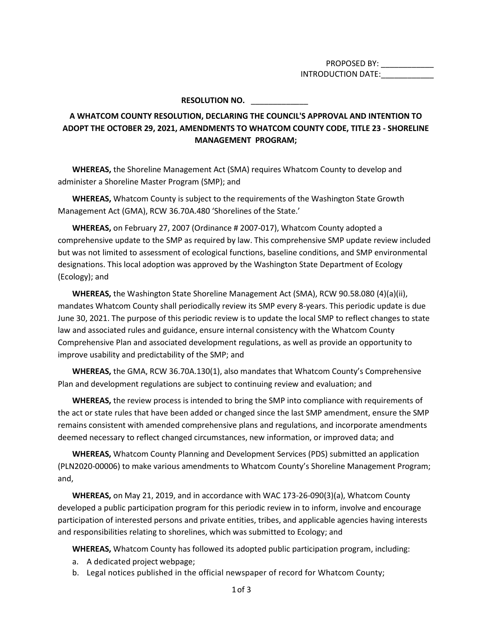PROPOSED BY: \_\_\_\_\_\_\_\_\_\_\_ INTRODUCTION DATE:

## **RESOLUTION NO.** \_\_\_\_\_\_\_\_\_\_\_\_\_

## **A WHATCOM COUNTY RESOLUTION, DECLARING THE COUNCIL'S APPROVAL AND INTENTION TO ADOPT THE OCTOBER 29, 2021, AMENDMENTS TO WHATCOM COUNTY CODE, TITLE 23 - SHORELINE MANAGEMENT PROGRAM;**

**WHEREAS,** the Shoreline Management Act (SMA) requires Whatcom County to develop and administer a Shoreline Master Program (SMP); and

**WHEREAS,** Whatcom County is subject to the requirements of the Washington State Growth Management Act (GMA), RCW 36.70A.480 'Shorelines of the State.'

**WHEREAS,** on February 27, 2007 (Ordinance # 2007-017), Whatcom County adopted a comprehensive update to the SMP as required by law. This comprehensive SMP update review included but was not limited to assessment of ecological functions, baseline conditions, and SMP environmental designations. This local adoption was approved by the Washington State Department of Ecology (Ecology); and

**WHEREAS,** the Washington State Shoreline Management Act (SMA), RCW 90.58.080 (4)(a)(ii), mandates Whatcom County shall periodically review its SMP every 8-years. This periodic update is due June 30, 2021. The purpose of this periodic review is to update the local SMP to reflect changes to state law and associated rules and guidance, ensure internal consistency with the Whatcom County Comprehensive Plan and associated development regulations, as well as provide an opportunity to improve usability and predictability of the SMP; and

**WHEREAS,** the GMA, RCW 36.70A.130(1), also mandates that Whatcom County's Comprehensive Plan and development regulations are subject to continuing review and evaluation; and

**WHEREAS,** the review process is intended to bring the SMP into compliance with requirements of the act or state rules that have been added or changed since the last SMP amendment, ensure the SMP remains consistent with amended comprehensive plans and regulations, and incorporate amendments deemed necessary to reflect changed circumstances, new information, or improved data; and

**WHEREAS,** Whatcom County Planning and Development Services (PDS) submitted an application (PLN2020-00006) to make various amendments to Whatcom County's Shoreline Management Program; and,

**WHEREAS,** on May 21, 2019, and in accordance with WAC 173-26-090(3)(a), Whatcom County developed a public participation program for this periodic review in to inform, involve and encourage participation of interested persons and private entities, tribes, and applicable agencies having interests and responsibilities relating to shorelines, which was submitted to Ecology; and

**WHEREAS,** Whatcom County has followed its adopted public participation program, including:

- a. A dedicated project webpage;
- b. Legal notices published in the official newspaper of record for Whatcom County;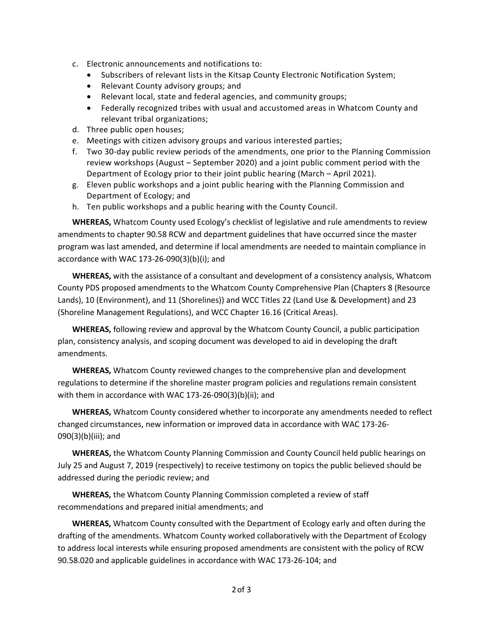- c. Electronic announcements and notifications to:
	- Subscribers of relevant lists in the Kitsap County Electronic Notification System;
	- Relevant County advisory groups; and
	- Relevant local, state and federal agencies, and community groups;
	- Federally recognized tribes with usual and accustomed areas in Whatcom County and relevant tribal organizations;
- d. Three public open houses;
- e. Meetings with citizen advisory groups and various interested parties;
- f. Two 30-day public review periods of the amendments, one prior to the Planning Commission review workshops (August – September 2020) and a joint public comment period with the Department of Ecology prior to their joint public hearing (March – April 2021).
- g. Eleven public workshops and a joint public hearing with the Planning Commission and Department of Ecology; and
- h. Ten public workshops and a public hearing with the County Council.

**WHEREAS,** Whatcom County used Ecology's checklist of legislative and rule amendments to review amendments to chapter 90.58 RCW and department guidelines that have occurred since the master program was last amended, and determine if local amendments are needed to maintain compliance in accordance with WAC 173-26-090(3)(b)(i); and

**WHEREAS,** with the assistance of a consultant and development of a consistency analysis, Whatcom County PDS proposed amendments to the Whatcom County Comprehensive Plan (Chapters 8 (Resource Lands), 10 (Environment), and 11 (Shorelines)) and WCC Titles 22 (Land Use & Development) and 23 (Shoreline Management Regulations), and WCC Chapter 16.16 (Critical Areas).

**WHEREAS,** following review and approval by the Whatcom County Council, a public participation plan, consistency analysis, and scoping document was developed to aid in developing the draft amendments.

**WHEREAS,** Whatcom County reviewed changes to the comprehensive plan and development regulations to determine if the shoreline master program policies and regulations remain consistent with them in accordance with WAC 173-26-090(3)(b)(ii); and

**WHEREAS,** Whatcom County considered whether to incorporate any amendments needed to reflect changed circumstances, new information or improved data in accordance with WAC 173-26- 090(3)(b)(iii); and

**WHEREAS,** the Whatcom County Planning Commission and County Council held public hearings on July 25 and August 7, 2019 (respectively) to receive testimony on topics the public believed should be addressed during the periodic review; and

**WHEREAS,** the Whatcom County Planning Commission completed a review of staff recommendations and prepared initial amendments; and

**WHEREAS,** Whatcom County consulted with the Department of Ecology early and often during the drafting of the amendments. Whatcom County worked collaboratively with the Department of Ecology to address local interests while ensuring proposed amendments are consistent with the policy of RCW 90.58.020 and applicable guidelines in accordance with WAC 173-26-104; and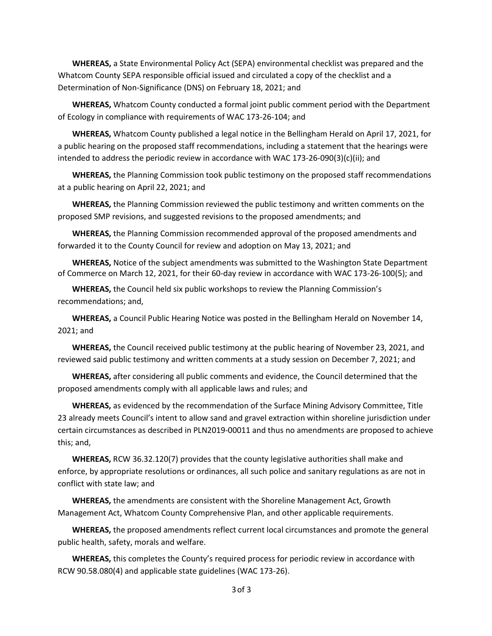**WHEREAS,** a State Environmental Policy Act (SEPA) environmental checklist was prepared and the Whatcom County SEPA responsible official issued and circulated a copy of the checklist and a Determination of Non-Significance (DNS) on February 18, 2021; and

**WHEREAS,** Whatcom County conducted a formal joint public comment period with the Department of Ecology in compliance with requirements of WAC 173-26-104; and

**WHEREAS,** Whatcom County published a legal notice in the Bellingham Herald on April 17, 2021, for a public hearing on the proposed staff recommendations, including a statement that the hearings were intended to address the periodic review in accordance with WAC 173-26-090(3)(c)(ii); and

**WHEREAS,** the Planning Commission took public testimony on the proposed staff recommendations at a public hearing on April 22, 2021; and

**WHEREAS,** the Planning Commission reviewed the public testimony and written comments on the proposed SMP revisions, and suggested revisions to the proposed amendments; and

**WHEREAS,** the Planning Commission recommended approval of the proposed amendments and forwarded it to the County Council for review and adoption on May 13, 2021; and

**WHEREAS,** Notice of the subject amendments was submitted to the Washington State Department of Commerce on March 12, 2021, for their 60-day review in accordance with WAC 173-26-100(5); and

**WHEREAS,** the Council held six public workshops to review the Planning Commission's recommendations; and,

**WHEREAS,** a Council Public Hearing Notice was posted in the Bellingham Herald on November 14, 2021; and

**WHEREAS,** the Council received public testimony at the public hearing of November 23, 2021, and reviewed said public testimony and written comments at a study session on December 7, 2021; and

**WHEREAS,** after considering all public comments and evidence, the Council determined that the proposed amendments comply with all applicable laws and rules; and

**WHEREAS,** as evidenced by the recommendation of the Surface Mining Advisory Committee, Title 23 already meets Council's intent to allow sand and gravel extraction within shoreline jurisdiction under certain circumstances as described in PLN2019-00011 and thus no amendments are proposed to achieve this; and,

**WHEREAS,** RCW 36.32.120(7) provides that the county legislative authorities shall make and enforce, by appropriate resolutions or ordinances, all such police and sanitary regulations as are not in conflict with state law; and

**WHEREAS,** the amendments are consistent with the Shoreline Management Act, Growth Management Act, Whatcom County Comprehensive Plan, and other applicable requirements.

**WHEREAS,** the proposed amendments reflect current local circumstances and promote the general public health, safety, morals and welfare.

**WHEREAS,** this completes the County's required process for periodic review in accordance with RCW 90.58.080(4) and applicable state guidelines (WAC 173-26).